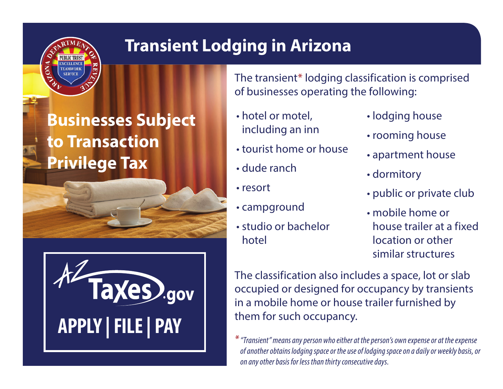### **Transient Lodging in Arizona**

# **Businesses Subject to Transaction Privilege Tax**



The transient\* lodging classification is comprised of businesses operating the following:

- hotel or motel, including an inn
- tourist home or house
- dude ranch
- resort
- campground
- studio or bachelor hotel
- lodging house
- rooming house
- apartment house
- dormitory
- public or private club
- mobile home or house trailer at a fixed location or other similar structures

The classification also includes a space, lot or slab occupied or designed for occupancy by transients in a mobile home or house trailer furnished by them for such occupancy.

*\* "Transient" means any person who either at the person's own expense or at the expense of another obtains lodging space or the use of lodging space on a daily or weekly basis, or on any other basis for less than thirty consecutive days.*